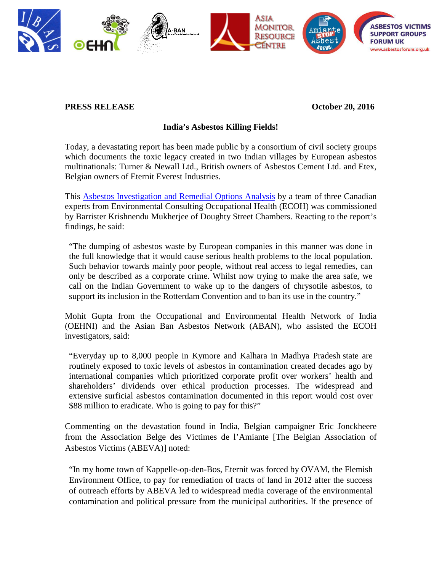

## **PRESS RELEASE October 20, 2016**

## **India's Asbestos Killing Fields!**

Today, a devastating report has been made public by a consortium of civil society groups which documents the toxic legacy created in two Indian villages by European asbestos multinationals: Turner & Newall Ltd., British owners of Asbestos Cement Ltd. and Etex, Belgian owners of Eternit Everest Industries.

This Asbestos Investigation and Remedial Options Analysis by a team of three Canadian experts from Environmental Consulting Occupational Health (ECOH) was commissioned by Barrister Krishnendu Mukherjee of Doughty Street Chambers. Reacting to the report's findings, he said:

"The dumping of asbestos waste by European companies in this manner was done in the full knowledge that it would cause serious health problems to the local population. Such behavior towards mainly poor people, without real access to legal remedies, can only be described as a corporate crime. Whilst now trying to make the area safe, we call on the Indian Government to wake up to the dangers of chrysotile asbestos, to support its inclusion in the Rotterdam Convention and to ban its use in the country."

Mohit Gupta from the Occupational and Environmental Health Network of India (OEHNI) and the Asian Ban Asbestos Network (ABAN), who assisted the ECOH investigators, said:

"Everyday up to 8,000 people in Kymore and Kalhara in Madhya Pradesh state are routinely exposed to toxic levels of asbestos in contamination created decades ago by international companies which prioritized corporate profit over workers' health and shareholders' dividends over ethical production processes. The widespread and extensive surficial asbestos contamination documented in this report would cost over \$88 million to eradicate. Who is going to pay for this?"

Commenting on the devastation found in India, Belgian campaigner Eric Jonckheere from the Association Belge des Victimes de l'Amiante [The Belgian Association of Asbestos Victims (ABEVA)] noted:

"In my home town of Kappelle-op-den-Bos, Eternit was forced by OVAM, the Flemish Environment Office, to pay for remediation of tracts of land in 2012 after the success of outreach efforts by ABEVA led to widespread media coverage of the environmental contamination and political pressure from the municipal authorities. If the presence of